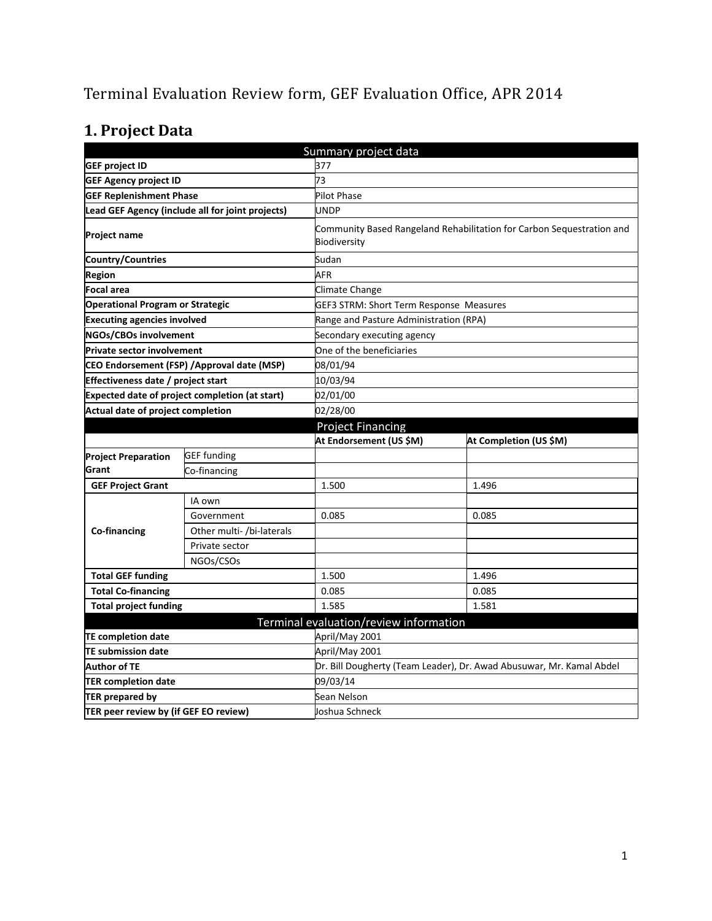# Terminal Evaluation Review form, GEF Evaluation Office, APR 2014

# **1. Project Data**

|                                                       |                                                  | Summary project data                    |                                                                       |  |  |
|-------------------------------------------------------|--------------------------------------------------|-----------------------------------------|-----------------------------------------------------------------------|--|--|
| <b>GEF project ID</b>                                 |                                                  | 377                                     |                                                                       |  |  |
| <b>GEF Agency project ID</b>                          |                                                  | 73                                      |                                                                       |  |  |
| <b>GEF Replenishment Phase</b>                        |                                                  | <b>Pilot Phase</b>                      |                                                                       |  |  |
|                                                       | Lead GEF Agency (include all for joint projects) | <b>UNDP</b>                             |                                                                       |  |  |
| <b>Project name</b>                                   |                                                  | Biodiversity                            | Community Based Rangeland Rehabilitation for Carbon Sequestration and |  |  |
| <b>Country/Countries</b>                              |                                                  | Sudan                                   |                                                                       |  |  |
| Region                                                |                                                  | AFR                                     |                                                                       |  |  |
| <b>Focal area</b>                                     |                                                  | <b>Climate Change</b>                   |                                                                       |  |  |
| <b>Operational Program or Strategic</b>               |                                                  | GEF3 STRM: Short Term Response Measures |                                                                       |  |  |
| <b>Executing agencies involved</b>                    |                                                  | Range and Pasture Administration (RPA)  |                                                                       |  |  |
| <b>NGOs/CBOs involvement</b>                          |                                                  | Secondary executing agency              |                                                                       |  |  |
| <b>Private sector involvement</b>                     |                                                  | One of the beneficiaries                |                                                                       |  |  |
| CEO Endorsement (FSP) / Approval date (MSP)           |                                                  | 08/01/94                                |                                                                       |  |  |
| Effectiveness date / project start                    |                                                  | 10/03/94                                |                                                                       |  |  |
| <b>Expected date of project completion (at start)</b> |                                                  | 02/01/00                                |                                                                       |  |  |
| Actual date of project completion                     |                                                  | 02/28/00                                |                                                                       |  |  |
|                                                       |                                                  | <b>Project Financing</b>                |                                                                       |  |  |
|                                                       |                                                  | At Endorsement (US \$M)                 | At Completion (US \$M)                                                |  |  |
| <b>Project Preparation</b>                            | <b>GEF</b> funding                               |                                         |                                                                       |  |  |
| Grant                                                 | Co-financing                                     |                                         |                                                                       |  |  |
| <b>GEF Project Grant</b>                              |                                                  | 1.500                                   | 1.496                                                                 |  |  |
|                                                       | IA own                                           |                                         |                                                                       |  |  |
|                                                       | Government                                       | 0.085                                   | 0.085                                                                 |  |  |
| Co-financing                                          | Other multi- /bi-laterals                        |                                         |                                                                       |  |  |
|                                                       | Private sector                                   |                                         |                                                                       |  |  |
|                                                       |                                                  |                                         |                                                                       |  |  |
|                                                       | NGOs/CSOs                                        |                                         |                                                                       |  |  |
| <b>Total GEF funding</b>                              |                                                  | 1.500                                   | 1.496                                                                 |  |  |
| <b>Total Co-financing</b>                             |                                                  | 0.085                                   | 0.085                                                                 |  |  |
| <b>Total project funding</b>                          |                                                  | 1.585                                   | 1.581                                                                 |  |  |
|                                                       |                                                  | Terminal evaluation/review information  |                                                                       |  |  |
| <b>TE completion date</b>                             |                                                  | April/May 2001                          |                                                                       |  |  |
| <b>TE submission date</b>                             |                                                  | April/May 2001                          |                                                                       |  |  |
| <b>Author of TE</b>                                   |                                                  |                                         | Dr. Bill Dougherty (Team Leader), Dr. Awad Abusuwar, Mr. Kamal Abdel  |  |  |
| <b>TER completion date</b>                            |                                                  | 09/03/14                                |                                                                       |  |  |
| <b>TER prepared by</b>                                |                                                  | Sean Nelson                             |                                                                       |  |  |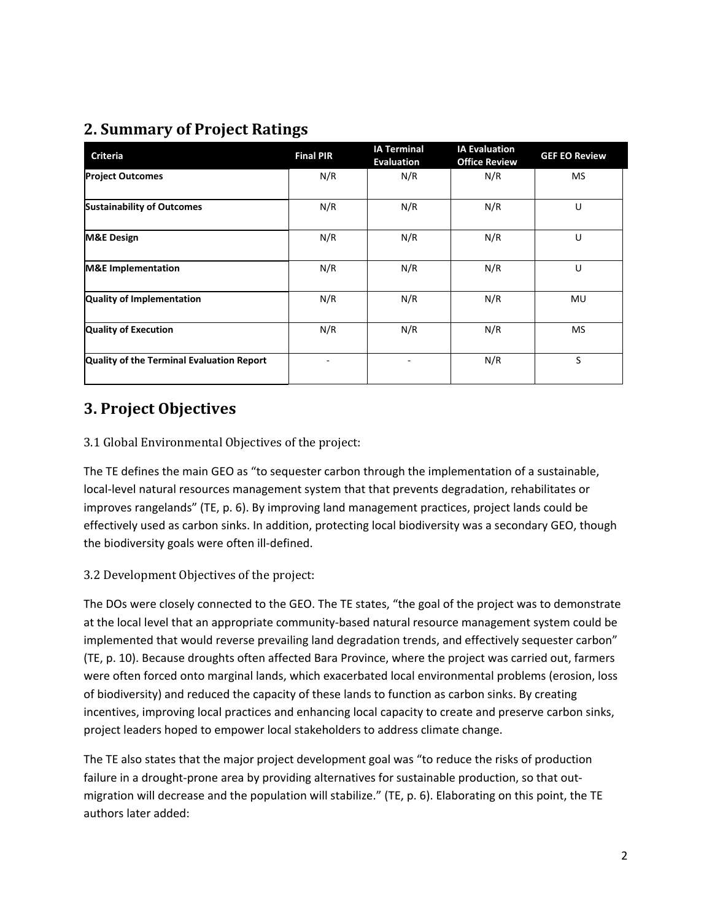### **2. Summary of Project Ratings**

| <b>Criteria</b>                           | <b>Final PIR</b> | <b>IA Terminal</b><br>Evaluation | <b>IA Evaluation</b><br><b>Office Review</b> | <b>GEF EO Review</b> |
|-------------------------------------------|------------------|----------------------------------|----------------------------------------------|----------------------|
| <b>Project Outcomes</b>                   | N/R              | N/R                              | N/R                                          | <b>MS</b>            |
| <b>Sustainability of Outcomes</b>         | N/R              | N/R                              | N/R                                          | U                    |
| <b>M&amp;E Design</b>                     | N/R              | N/R                              | N/R                                          | U                    |
| <b>M&amp;E</b> Implementation             | N/R              | N/R                              | N/R                                          | U                    |
| Quality of Implementation                 | N/R              | N/R                              | N/R                                          | MU                   |
| <b>Quality of Execution</b>               | N/R              | N/R                              | N/R                                          | <b>MS</b>            |
| Quality of the Terminal Evaluation Report |                  |                                  | N/R                                          | S                    |

### **3. Project Objectives**

#### 3.1 Global Environmental Objectives of the project:

The TE defines the main GEO as "to sequester carbon through the implementation of a sustainable, local-level natural resources management system that that prevents degradation, rehabilitates or improves rangelands" (TE, p. 6). By improving land management practices, project lands could be effectively used as carbon sinks. In addition, protecting local biodiversity was a secondary GEO, though the biodiversity goals were often ill-defined.

#### 3.2 Development Objectives of the project:

The DOs were closely connected to the GEO. The TE states, "the goal of the project was to demonstrate at the local level that an appropriate community-based natural resource management system could be implemented that would reverse prevailing land degradation trends, and effectively sequester carbon" (TE, p. 10). Because droughts often affected Bara Province, where the project was carried out, farmers were often forced onto marginal lands, which exacerbated local environmental problems (erosion, loss of biodiversity) and reduced the capacity of these lands to function as carbon sinks. By creating incentives, improving local practices and enhancing local capacity to create and preserve carbon sinks, project leaders hoped to empower local stakeholders to address climate change.

The TE also states that the major project development goal was "to reduce the risks of production failure in a drought-prone area by providing alternatives for sustainable production, so that outmigration will decrease and the population will stabilize." (TE, p. 6). Elaborating on this point, the TE authors later added: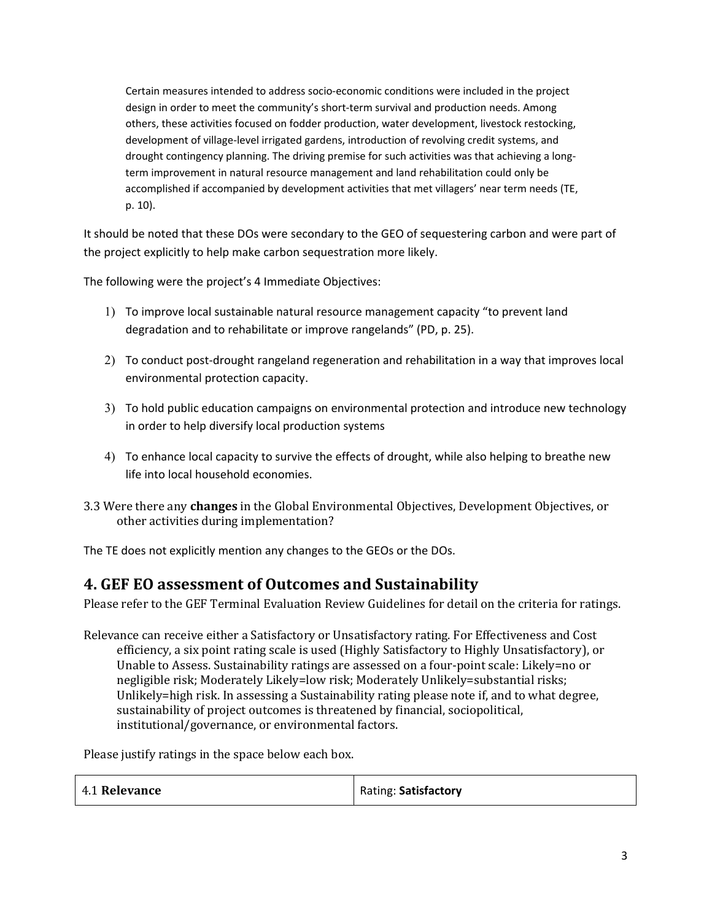Certain measures intended to address socio-economic conditions were included in the project design in order to meet the community's short-term survival and production needs. Among others, these activities focused on fodder production, water development, livestock restocking, development of village-level irrigated gardens, introduction of revolving credit systems, and drought contingency planning. The driving premise for such activities was that achieving a longterm improvement in natural resource management and land rehabilitation could only be accomplished if accompanied by development activities that met villagers' near term needs (TE, p. 10).

It should be noted that these DOs were secondary to the GEO of sequestering carbon and were part of the project explicitly to help make carbon sequestration more likely.

The following were the project's 4 Immediate Objectives:

- 1) To improve local sustainable natural resource management capacity "to prevent land degradation and to rehabilitate or improve rangelands" (PD, p. 25).
- 2) To conduct post-drought rangeland regeneration and rehabilitation in a way that improves local environmental protection capacity.
- 3) To hold public education campaigns on environmental protection and introduce new technology in order to help diversify local production systems
- 4) To enhance local capacity to survive the effects of drought, while also helping to breathe new life into local household economies.
- 3.3 Were there any **changes** in the Global Environmental Objectives, Development Objectives, or other activities during implementation?

The TE does not explicitly mention any changes to the GEOs or the DOs.

### **4. GEF EO assessment of Outcomes and Sustainability**

Please refer to the GEF Terminal Evaluation Review Guidelines for detail on the criteria for ratings.

Relevance can receive either a Satisfactory or Unsatisfactory rating. For Effectiveness and Cost efficiency, a six point rating scale is used (Highly Satisfactory to Highly Unsatisfactory), or Unable to Assess. Sustainability ratings are assessed on a four-point scale: Likely=no or negligible risk; Moderately Likely=low risk; Moderately Unlikely=substantial risks; Unlikely=high risk. In assessing a Sustainability rating please note if, and to what degree, sustainability of project outcomes is threatened by financial, sociopolitical, institutional/governance, or environmental factors.

Please justify ratings in the space below each box.

| 4.1 Relevance | Rating: Satisfactory |
|---------------|----------------------|
|---------------|----------------------|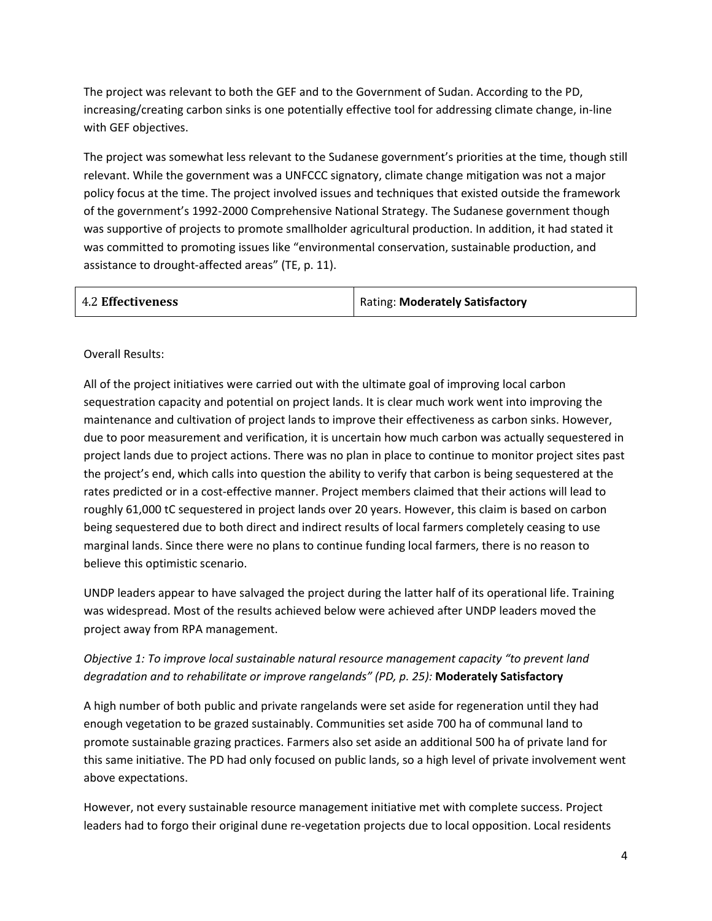The project was relevant to both the GEF and to the Government of Sudan. According to the PD, increasing/creating carbon sinks is one potentially effective tool for addressing climate change, in-line with GEF objectives.

The project was somewhat less relevant to the Sudanese government's priorities at the time, though still relevant. While the government was a UNFCCC signatory, climate change mitigation was not a major policy focus at the time. The project involved issues and techniques that existed outside the framework of the government's 1992-2000 Comprehensive National Strategy. The Sudanese government though was supportive of projects to promote smallholder agricultural production. In addition, it had stated it was committed to promoting issues like "environmental conservation, sustainable production, and assistance to drought-affected areas" (TE, p. 11).

| <b>4.2 Effectiveness</b> | Rating: Moderately Satisfactory |
|--------------------------|---------------------------------|
|                          |                                 |

#### Overall Results:

All of the project initiatives were carried out with the ultimate goal of improving local carbon sequestration capacity and potential on project lands. It is clear much work went into improving the maintenance and cultivation of project lands to improve their effectiveness as carbon sinks. However, due to poor measurement and verification, it is uncertain how much carbon was actually sequestered in project lands due to project actions. There was no plan in place to continue to monitor project sites past the project's end, which calls into question the ability to verify that carbon is being sequestered at the rates predicted or in a cost-effective manner. Project members claimed that their actions will lead to roughly 61,000 tC sequestered in project lands over 20 years. However, this claim is based on carbon being sequestered due to both direct and indirect results of local farmers completely ceasing to use marginal lands. Since there were no plans to continue funding local farmers, there is no reason to believe this optimistic scenario.

UNDP leaders appear to have salvaged the project during the latter half of its operational life. Training was widespread. Most of the results achieved below were achieved after UNDP leaders moved the project away from RPA management.

#### *Objective 1: To improve local sustainable natural resource management capacity "to prevent land degradation and to rehabilitate or improve rangelands" (PD, p. 25):* **Moderately Satisfactory**

A high number of both public and private rangelands were set aside for regeneration until they had enough vegetation to be grazed sustainably. Communities set aside 700 ha of communal land to promote sustainable grazing practices. Farmers also set aside an additional 500 ha of private land for this same initiative. The PD had only focused on public lands, so a high level of private involvement went above expectations.

However, not every sustainable resource management initiative met with complete success. Project leaders had to forgo their original dune re-vegetation projects due to local opposition. Local residents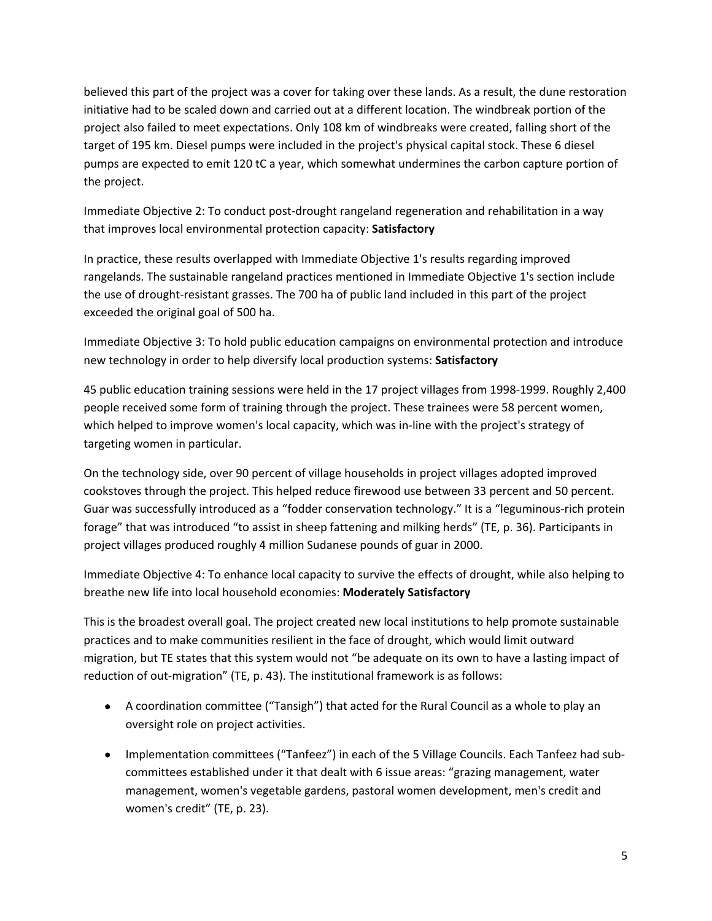believed this part of the project was a cover for taking over these lands. As a result, the dune restoration initiative had to be scaled down and carried out at a different location. The windbreak portion of the project also failed to meet expectations. Only 108 km of windbreaks were created, falling short of the target of 195 km. Diesel pumps were included in the project's physical capital stock. These 6 diesel pumps are expected to emit 120 tC a year, which somewhat undermines the carbon capture portion of the project.

Immediate Objective 2: To conduct post-drought rangeland regeneration and rehabilitation in a way that improves local environmental protection capacity: **Satisfactory**

In practice, these results overlapped with Immediate Objective 1's results regarding improved rangelands. The sustainable rangeland practices mentioned in Immediate Objective 1's section include the use of drought-resistant grasses. The 700 ha of public land included in this part of the project exceeded the original goal of 500 ha.

Immediate Objective 3: To hold public education campaigns on environmental protection and introduce new technology in order to help diversify local production systems: **Satisfactory**

45 public education training sessions were held in the 17 project villages from 1998-1999. Roughly 2,400 people received some form of training through the project. These trainees were 58 percent women, which helped to improve women's local capacity, which was in-line with the project's strategy of targeting women in particular.

On the technology side, over 90 percent of village households in project villages adopted improved cookstoves through the project. This helped reduce firewood use between 33 percent and 50 percent. Guar was successfully introduced as a "fodder conservation technology." It is a "leguminous-rich protein forage" that was introduced "to assist in sheep fattening and milking herds" (TE, p. 36). Participants in project villages produced roughly 4 million Sudanese pounds of guar in 2000.

Immediate Objective 4: To enhance local capacity to survive the effects of drought, while also helping to breathe new life into local household economies: **Moderately Satisfactory**

This is the broadest overall goal. The project created new local institutions to help promote sustainable practices and to make communities resilient in the face of drought, which would limit outward migration, but TE states that this system would not "be adequate on its own to have a lasting impact of reduction of out-migration" (TE, p. 43). The institutional framework is as follows:

- A coordination committee ("Tansigh") that acted for the Rural Council as a whole to play an oversight role on project activities.
- Implementation committees ("Tanfeez") in each of the 5 Village Councils. Each Tanfeez had subcommittees established under it that dealt with 6 issue areas: "grazing management, water management, women's vegetable gardens, pastoral women development, men's credit and women's credit" (TE, p. 23).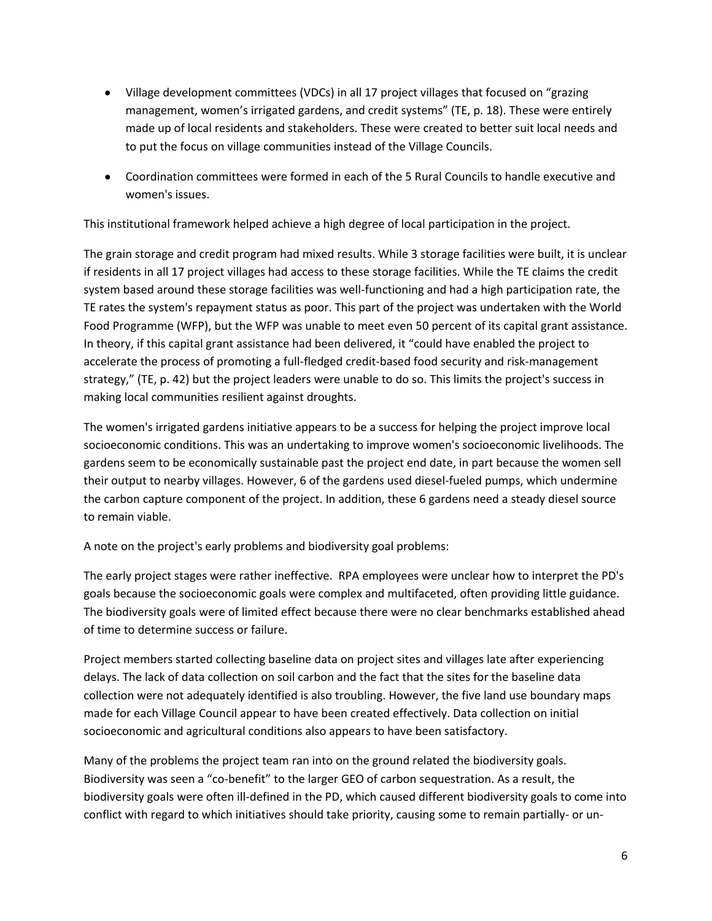- Village development committees (VDCs) in all 17 project villages that focused on "grazing management, women's irrigated gardens, and credit systems" (TE, p. 18). These were entirely made up of local residents and stakeholders. These were created to better suit local needs and to put the focus on village communities instead of the Village Councils.
- Coordination committees were formed in each of the 5 Rural Councils to handle executive and women's issues.

This institutional framework helped achieve a high degree of local participation in the project.

The grain storage and credit program had mixed results. While 3 storage facilities were built, it is unclear if residents in all 17 project villages had access to these storage facilities. While the TE claims the credit system based around these storage facilities was well-functioning and had a high participation rate, the TE rates the system's repayment status as poor. This part of the project was undertaken with the World Food Programme (WFP), but the WFP was unable to meet even 50 percent of its capital grant assistance. In theory, if this capital grant assistance had been delivered, it "could have enabled the project to accelerate the process of promoting a full-fledged credit-based food security and risk-management strategy," (TE, p. 42) but the project leaders were unable to do so. This limits the project's success in making local communities resilient against droughts.

The women's irrigated gardens initiative appears to be a success for helping the project improve local socioeconomic conditions. This was an undertaking to improve women's socioeconomic livelihoods. The gardens seem to be economically sustainable past the project end date, in part because the women sell their output to nearby villages. However, 6 of the gardens used diesel-fueled pumps, which undermine the carbon capture component of the project. In addition, these 6 gardens need a steady diesel source to remain viable.

A note on the project's early problems and biodiversity goal problems:

The early project stages were rather ineffective. RPA employees were unclear how to interpret the PD's goals because the socioeconomic goals were complex and multifaceted, often providing little guidance. The biodiversity goals were of limited effect because there were no clear benchmarks established ahead of time to determine success or failure.

Project members started collecting baseline data on project sites and villages late after experiencing delays. The lack of data collection on soil carbon and the fact that the sites for the baseline data collection were not adequately identified is also troubling. However, the five land use boundary maps made for each Village Council appear to have been created effectively. Data collection on initial socioeconomic and agricultural conditions also appears to have been satisfactory.

Many of the problems the project team ran into on the ground related the biodiversity goals. Biodiversity was seen a "co-benefit" to the larger GEO of carbon sequestration. As a result, the biodiversity goals were often ill-defined in the PD, which caused different biodiversity goals to come into conflict with regard to which initiatives should take priority, causing some to remain partially- or un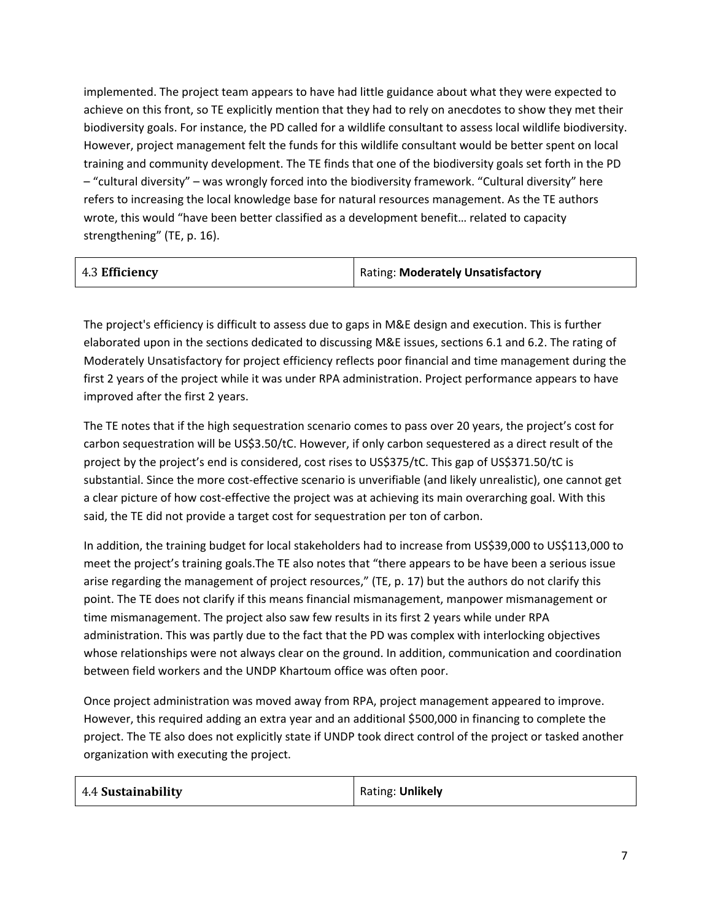implemented. The project team appears to have had little guidance about what they were expected to achieve on this front, so TE explicitly mention that they had to rely on anecdotes to show they met their biodiversity goals. For instance, the PD called for a wildlife consultant to assess local wildlife biodiversity. However, project management felt the funds for this wildlife consultant would be better spent on local training and community development. The TE finds that one of the biodiversity goals set forth in the PD – "cultural diversity" – was wrongly forced into the biodiversity framework. "Cultural diversity" here refers to increasing the local knowledge base for natural resources management. As the TE authors wrote, this would "have been better classified as a development benefit… related to capacity strengthening" (TE, p. 16).

| 4.3 Efficiency | <b>Rating: Moderately Unsatisfactory</b> |
|----------------|------------------------------------------|
|                |                                          |

The project's efficiency is difficult to assess due to gaps in M&E design and execution. This is further elaborated upon in the sections dedicated to discussing M&E issues, sections 6.1 and 6.2. The rating of Moderately Unsatisfactory for project efficiency reflects poor financial and time management during the first 2 years of the project while it was under RPA administration. Project performance appears to have improved after the first 2 years.

The TE notes that if the high sequestration scenario comes to pass over 20 years, the project's cost for carbon sequestration will be US\$3.50/tC. However, if only carbon sequestered as a direct result of the project by the project's end is considered, cost rises to US\$375/tC. This gap of US\$371.50/tC is substantial. Since the more cost-effective scenario is unverifiable (and likely unrealistic), one cannot get a clear picture of how cost-effective the project was at achieving its main overarching goal. With this said, the TE did not provide a target cost for sequestration per ton of carbon.

In addition, the training budget for local stakeholders had to increase from US\$39,000 to US\$113,000 to meet the project's training goals.The TE also notes that "there appears to be have been a serious issue arise regarding the management of project resources," (TE, p. 17) but the authors do not clarify this point. The TE does not clarify if this means financial mismanagement, manpower mismanagement or time mismanagement. The project also saw few results in its first 2 years while under RPA administration. This was partly due to the fact that the PD was complex with interlocking objectives whose relationships were not always clear on the ground. In addition, communication and coordination between field workers and the UNDP Khartoum office was often poor.

Once project administration was moved away from RPA, project management appeared to improve. However, this required adding an extra year and an additional \$500,000 in financing to complete the project. The TE also does not explicitly state if UNDP took direct control of the project or tasked another organization with executing the project.

| 4.4 Sustainability | Rating: Unlikely |
|--------------------|------------------|
|--------------------|------------------|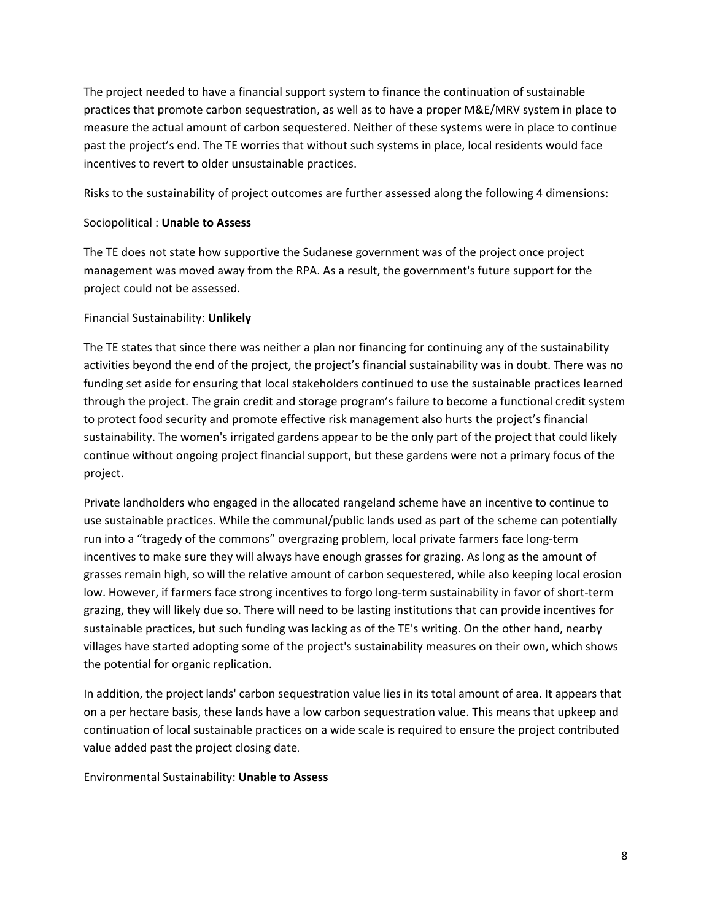The project needed to have a financial support system to finance the continuation of sustainable practices that promote carbon sequestration, as well as to have a proper M&E/MRV system in place to measure the actual amount of carbon sequestered. Neither of these systems were in place to continue past the project's end. The TE worries that without such systems in place, local residents would face incentives to revert to older unsustainable practices.

Risks to the sustainability of project outcomes are further assessed along the following 4 dimensions:

#### Sociopolitical : **Unable to Assess**

The TE does not state how supportive the Sudanese government was of the project once project management was moved away from the RPA. As a result, the government's future support for the project could not be assessed.

#### Financial Sustainability: **Unlikely**

The TE states that since there was neither a plan nor financing for continuing any of the sustainability activities beyond the end of the project, the project's financial sustainability was in doubt. There was no funding set aside for ensuring that local stakeholders continued to use the sustainable practices learned through the project. The grain credit and storage program's failure to become a functional credit system to protect food security and promote effective risk management also hurts the project's financial sustainability. The women's irrigated gardens appear to be the only part of the project that could likely continue without ongoing project financial support, but these gardens were not a primary focus of the project.

Private landholders who engaged in the allocated rangeland scheme have an incentive to continue to use sustainable practices. While the communal/public lands used as part of the scheme can potentially run into a "tragedy of the commons" overgrazing problem, local private farmers face long-term incentives to make sure they will always have enough grasses for grazing. As long as the amount of grasses remain high, so will the relative amount of carbon sequestered, while also keeping local erosion low. However, if farmers face strong incentives to forgo long-term sustainability in favor of short-term grazing, they will likely due so. There will need to be lasting institutions that can provide incentives for sustainable practices, but such funding was lacking as of the TE's writing. On the other hand, nearby villages have started adopting some of the project's sustainability measures on their own, which shows the potential for organic replication.

In addition, the project lands' carbon sequestration value lies in its total amount of area. It appears that on a per hectare basis, these lands have a low carbon sequestration value. This means that upkeep and continuation of local sustainable practices on a wide scale is required to ensure the project contributed value added past the project closing date.

Environmental Sustainability: **Unable to Assess**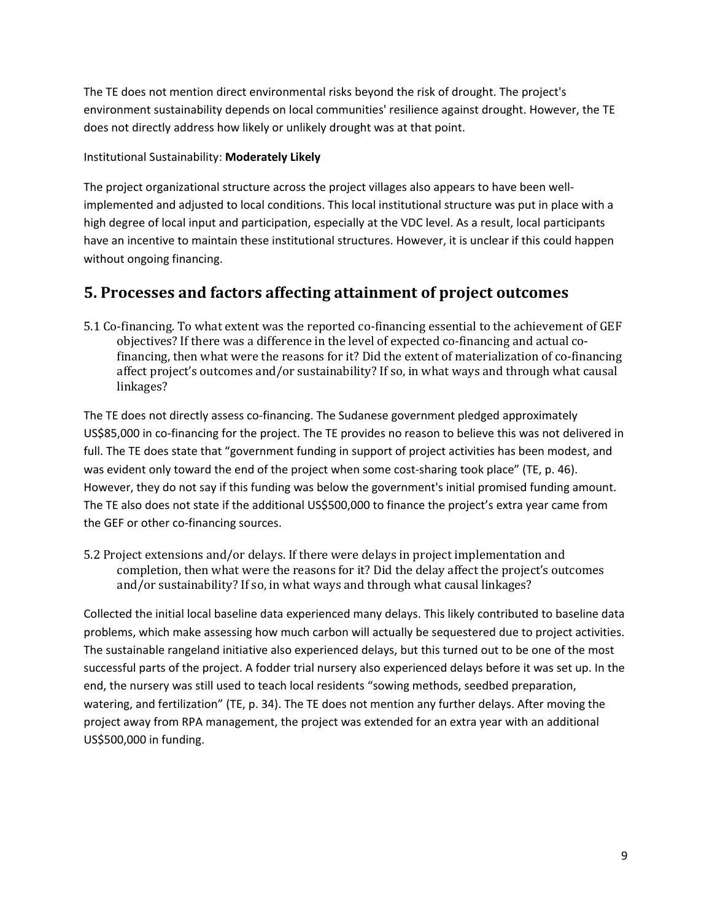The TE does not mention direct environmental risks beyond the risk of drought. The project's environment sustainability depends on local communities' resilience against drought. However, the TE does not directly address how likely or unlikely drought was at that point.

Institutional Sustainability: **Moderately Likely**

The project organizational structure across the project villages also appears to have been wellimplemented and adjusted to local conditions. This local institutional structure was put in place with a high degree of local input and participation, especially at the VDC level. As a result, local participants have an incentive to maintain these institutional structures. However, it is unclear if this could happen without ongoing financing.

### **5. Processes and factors affecting attainment of project outcomes**

5.1 Co-financing. To what extent was the reported co-financing essential to the achievement of GEF objectives? If there was a difference in the level of expected co-financing and actual cofinancing, then what were the reasons for it? Did the extent of materialization of co-financing affect project's outcomes and/or sustainability? If so, in what ways and through what causal linkages?

The TE does not directly assess co-financing. The Sudanese government pledged approximately US\$85,000 in co-financing for the project. The TE provides no reason to believe this was not delivered in full. The TE does state that "government funding in support of project activities has been modest, and was evident only toward the end of the project when some cost-sharing took place" (TE, p. 46). However, they do not say if this funding was below the government's initial promised funding amount. The TE also does not state if the additional US\$500,000 to finance the project's extra year came from the GEF or other co-financing sources.

5.2 Project extensions and/or delays. If there were delays in project implementation and completion, then what were the reasons for it? Did the delay affect the project's outcomes and/or sustainability? If so, in what ways and through what causal linkages?

Collected the initial local baseline data experienced many delays. This likely contributed to baseline data problems, which make assessing how much carbon will actually be sequestered due to project activities. The sustainable rangeland initiative also experienced delays, but this turned out to be one of the most successful parts of the project. A fodder trial nursery also experienced delays before it was set up. In the end, the nursery was still used to teach local residents "sowing methods, seedbed preparation, watering, and fertilization" (TE, p. 34). The TE does not mention any further delays. After moving the project away from RPA management, the project was extended for an extra year with an additional US\$500,000 in funding.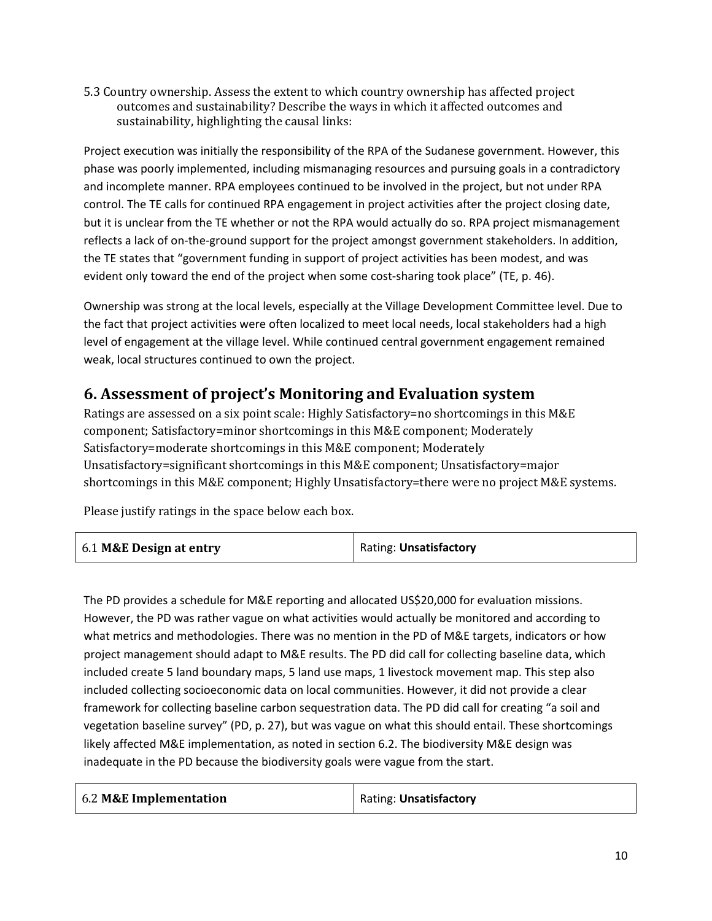5.3 Country ownership. Assess the extent to which country ownership has affected project outcomes and sustainability? Describe the ways in which it affected outcomes and sustainability, highlighting the causal links:

Project execution was initially the responsibility of the RPA of the Sudanese government. However, this phase was poorly implemented, including mismanaging resources and pursuing goals in a contradictory and incomplete manner. RPA employees continued to be involved in the project, but not under RPA control. The TE calls for continued RPA engagement in project activities after the project closing date, but it is unclear from the TE whether or not the RPA would actually do so. RPA project mismanagement reflects a lack of on-the-ground support for the project amongst government stakeholders. In addition, the TE states that "government funding in support of project activities has been modest, and was evident only toward the end of the project when some cost-sharing took place" (TE, p. 46).

Ownership was strong at the local levels, especially at the Village Development Committee level. Due to the fact that project activities were often localized to meet local needs, local stakeholders had a high level of engagement at the village level. While continued central government engagement remained weak, local structures continued to own the project.

### **6. Assessment of project's Monitoring and Evaluation system**

Ratings are assessed on a six point scale: Highly Satisfactory=no shortcomings in this M&E component; Satisfactory=minor shortcomings in this M&E component; Moderately Satisfactory=moderate shortcomings in this M&E component; Moderately Unsatisfactory=significant shortcomings in this M&E component; Unsatisfactory=major shortcomings in this M&E component; Highly Unsatisfactory=there were no project M&E systems.

Please justify ratings in the space below each box.

| 6.1 M&E Design at entry | Rating: Unsatisfactory |
|-------------------------|------------------------|
|-------------------------|------------------------|

The PD provides a schedule for M&E reporting and allocated US\$20,000 for evaluation missions. However, the PD was rather vague on what activities would actually be monitored and according to what metrics and methodologies. There was no mention in the PD of M&E targets, indicators or how project management should adapt to M&E results. The PD did call for collecting baseline data, which included create 5 land boundary maps, 5 land use maps, 1 livestock movement map. This step also included collecting socioeconomic data on local communities. However, it did not provide a clear framework for collecting baseline carbon sequestration data. The PD did call for creating "a soil and vegetation baseline survey" (PD, p. 27), but was vague on what this should entail. These shortcomings likely affected M&E implementation, as noted in section 6.2. The biodiversity M&E design was inadequate in the PD because the biodiversity goals were vague from the start.

| 6.2 M&E Implementation | Rating: Unsatisfactory |
|------------------------|------------------------|
|------------------------|------------------------|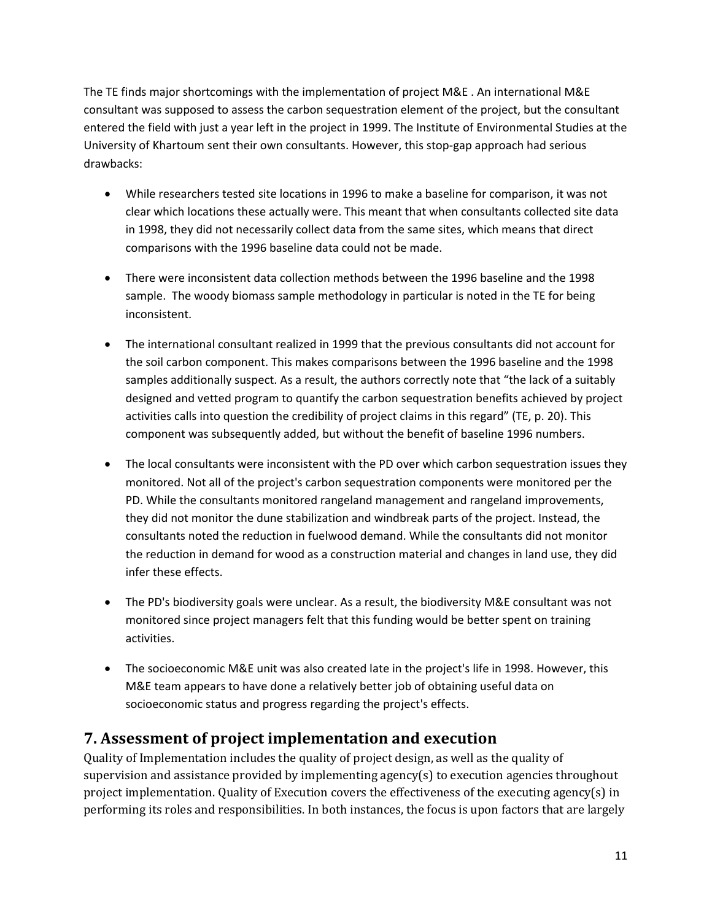The TE finds major shortcomings with the implementation of project M&E . An international M&E consultant was supposed to assess the carbon sequestration element of the project, but the consultant entered the field with just a year left in the project in 1999. The Institute of Environmental Studies at the University of Khartoum sent their own consultants. However, this stop-gap approach had serious drawbacks:

- While researchers tested site locations in 1996 to make a baseline for comparison, it was not clear which locations these actually were. This meant that when consultants collected site data in 1998, they did not necessarily collect data from the same sites, which means that direct comparisons with the 1996 baseline data could not be made.
- There were inconsistent data collection methods between the 1996 baseline and the 1998 sample. The woody biomass sample methodology in particular is noted in the TE for being inconsistent.
- The international consultant realized in 1999 that the previous consultants did not account for the soil carbon component. This makes comparisons between the 1996 baseline and the 1998 samples additionally suspect. As a result, the authors correctly note that "the lack of a suitably designed and vetted program to quantify the carbon sequestration benefits achieved by project activities calls into question the credibility of project claims in this regard" (TE, p. 20). This component was subsequently added, but without the benefit of baseline 1996 numbers.
- The local consultants were inconsistent with the PD over which carbon sequestration issues they monitored. Not all of the project's carbon sequestration components were monitored per the PD. While the consultants monitored rangeland management and rangeland improvements, they did not monitor the dune stabilization and windbreak parts of the project. Instead, the consultants noted the reduction in fuelwood demand. While the consultants did not monitor the reduction in demand for wood as a construction material and changes in land use, they did infer these effects.
- The PD's biodiversity goals were unclear. As a result, the biodiversity M&E consultant was not monitored since project managers felt that this funding would be better spent on training activities.
- The socioeconomic M&E unit was also created late in the project's life in 1998. However, this M&E team appears to have done a relatively better job of obtaining useful data on socioeconomic status and progress regarding the project's effects.

### **7. Assessment of project implementation and execution**

Quality of Implementation includes the quality of project design, as well as the quality of supervision and assistance provided by implementing agency(s) to execution agencies throughout project implementation. Quality of Execution covers the effectiveness of the executing agency(s) in performing its roles and responsibilities. In both instances, the focus is upon factors that are largely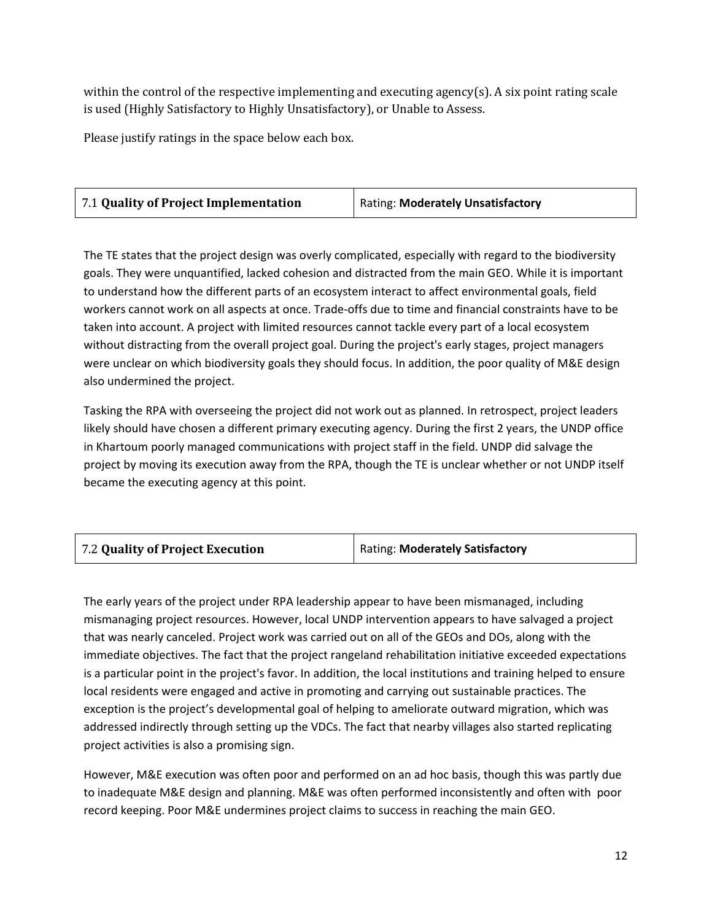within the control of the respective implementing and executing agency(s). A six point rating scale is used (Highly Satisfactory to Highly Unsatisfactory), or Unable to Assess.

Please justify ratings in the space below each box.

| 7.1 Quality of Project Implementation | <b>Rating: Moderately Unsatisfactory</b> |
|---------------------------------------|------------------------------------------|
|---------------------------------------|------------------------------------------|

The TE states that the project design was overly complicated, especially with regard to the biodiversity goals. They were unquantified, lacked cohesion and distracted from the main GEO. While it is important to understand how the different parts of an ecosystem interact to affect environmental goals, field workers cannot work on all aspects at once. Trade-offs due to time and financial constraints have to be taken into account. A project with limited resources cannot tackle every part of a local ecosystem without distracting from the overall project goal. During the project's early stages, project managers were unclear on which biodiversity goals they should focus. In addition, the poor quality of M&E design also undermined the project.

Tasking the RPA with overseeing the project did not work out as planned. In retrospect, project leaders likely should have chosen a different primary executing agency. During the first 2 years, the UNDP office in Khartoum poorly managed communications with project staff in the field. UNDP did salvage the project by moving its execution away from the RPA, though the TE is unclear whether or not UNDP itself became the executing agency at this point.

|  | 7.2 Quality of Project Execution | Rating: Moderately Satisfactory |
|--|----------------------------------|---------------------------------|
|--|----------------------------------|---------------------------------|

The early years of the project under RPA leadership appear to have been mismanaged, including mismanaging project resources. However, local UNDP intervention appears to have salvaged a project that was nearly canceled. Project work was carried out on all of the GEOs and DOs, along with the immediate objectives. The fact that the project rangeland rehabilitation initiative exceeded expectations is a particular point in the project's favor. In addition, the local institutions and training helped to ensure local residents were engaged and active in promoting and carrying out sustainable practices. The exception is the project's developmental goal of helping to ameliorate outward migration, which was addressed indirectly through setting up the VDCs. The fact that nearby villages also started replicating project activities is also a promising sign.

However, M&E execution was often poor and performed on an ad hoc basis, though this was partly due to inadequate M&E design and planning. M&E was often performed inconsistently and often with poor record keeping. Poor M&E undermines project claims to success in reaching the main GEO.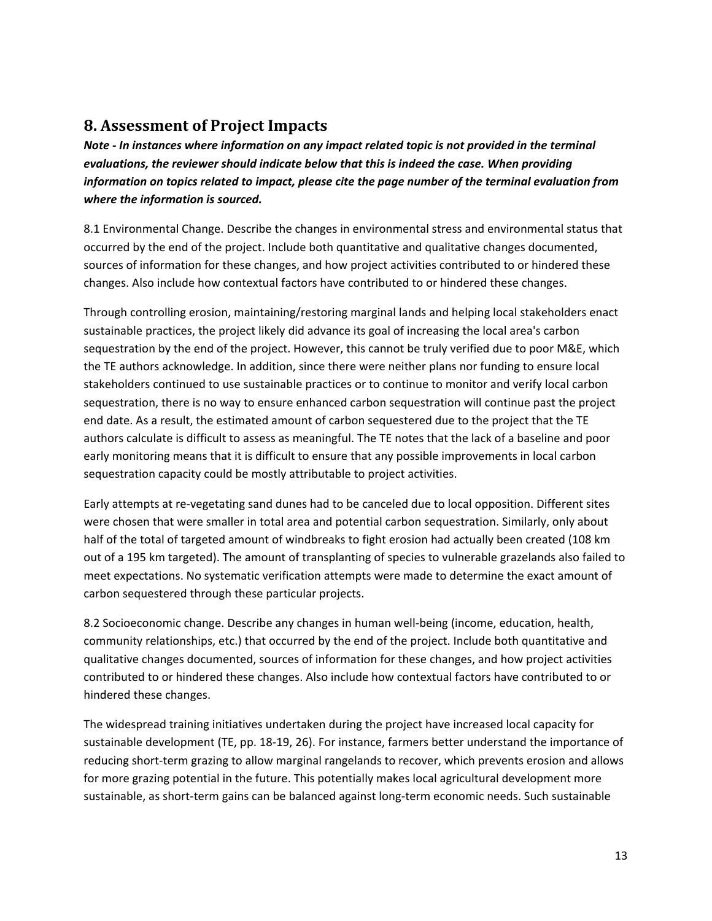### **8. Assessment of Project Impacts**

*Note - In instances where information on any impact related topic is not provided in the terminal evaluations, the reviewer should indicate below that this is indeed the case. When providing information on topics related to impact, please cite the page number of the terminal evaluation from where the information is sourced.*

8.1 Environmental Change. Describe the changes in environmental stress and environmental status that occurred by the end of the project. Include both quantitative and qualitative changes documented, sources of information for these changes, and how project activities contributed to or hindered these changes. Also include how contextual factors have contributed to or hindered these changes.

Through controlling erosion, maintaining/restoring marginal lands and helping local stakeholders enact sustainable practices, the project likely did advance its goal of increasing the local area's carbon sequestration by the end of the project. However, this cannot be truly verified due to poor M&E, which the TE authors acknowledge. In addition, since there were neither plans nor funding to ensure local stakeholders continued to use sustainable practices or to continue to monitor and verify local carbon sequestration, there is no way to ensure enhanced carbon sequestration will continue past the project end date. As a result, the estimated amount of carbon sequestered due to the project that the TE authors calculate is difficult to assess as meaningful. The TE notes that the lack of a baseline and poor early monitoring means that it is difficult to ensure that any possible improvements in local carbon sequestration capacity could be mostly attributable to project activities.

Early attempts at re-vegetating sand dunes had to be canceled due to local opposition. Different sites were chosen that were smaller in total area and potential carbon sequestration. Similarly, only about half of the total of targeted amount of windbreaks to fight erosion had actually been created (108 km out of a 195 km targeted). The amount of transplanting of species to vulnerable grazelands also failed to meet expectations. No systematic verification attempts were made to determine the exact amount of carbon sequestered through these particular projects.

8.2 Socioeconomic change. Describe any changes in human well-being (income, education, health, community relationships, etc.) that occurred by the end of the project. Include both quantitative and qualitative changes documented, sources of information for these changes, and how project activities contributed to or hindered these changes. Also include how contextual factors have contributed to or hindered these changes.

The widespread training initiatives undertaken during the project have increased local capacity for sustainable development (TE, pp. 18-19, 26). For instance, farmers better understand the importance of reducing short-term grazing to allow marginal rangelands to recover, which prevents erosion and allows for more grazing potential in the future. This potentially makes local agricultural development more sustainable, as short-term gains can be balanced against long-term economic needs. Such sustainable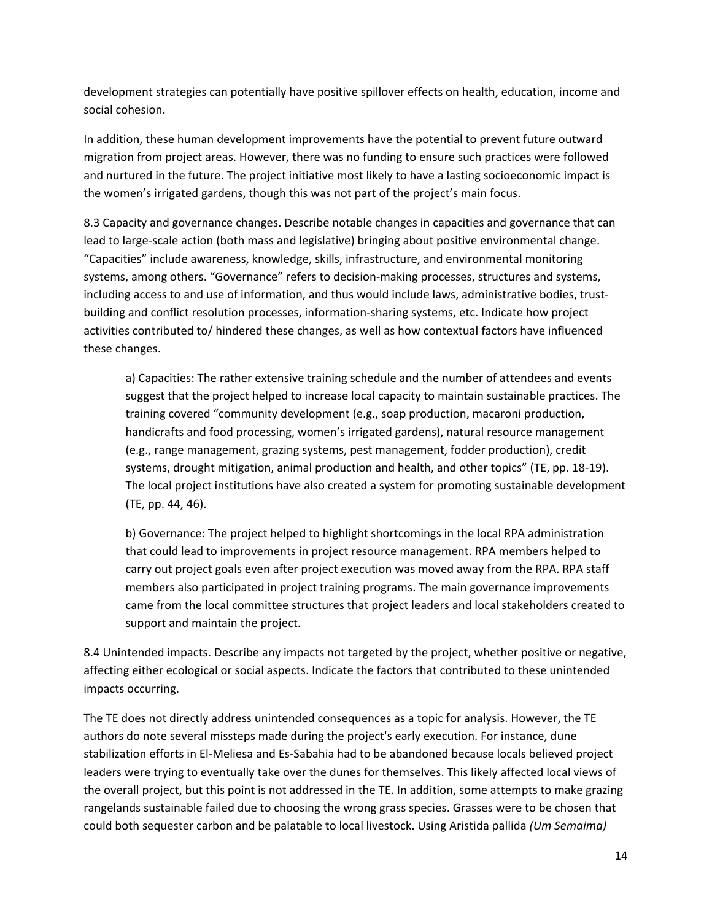development strategies can potentially have positive spillover effects on health, education, income and social cohesion.

In addition, these human development improvements have the potential to prevent future outward migration from project areas. However, there was no funding to ensure such practices were followed and nurtured in the future. The project initiative most likely to have a lasting socioeconomic impact is the women's irrigated gardens, though this was not part of the project's main focus.

8.3 Capacity and governance changes. Describe notable changes in capacities and governance that can lead to large-scale action (both mass and legislative) bringing about positive environmental change. "Capacities" include awareness, knowledge, skills, infrastructure, and environmental monitoring systems, among others. "Governance" refers to decision-making processes, structures and systems, including access to and use of information, and thus would include laws, administrative bodies, trustbuilding and conflict resolution processes, information-sharing systems, etc. Indicate how project activities contributed to/ hindered these changes, as well as how contextual factors have influenced these changes.

a) Capacities: The rather extensive training schedule and the number of attendees and events suggest that the project helped to increase local capacity to maintain sustainable practices. The training covered "community development (e.g., soap production, macaroni production, handicrafts and food processing, women's irrigated gardens), natural resource management (e.g., range management, grazing systems, pest management, fodder production), credit systems, drought mitigation, animal production and health, and other topics" (TE, pp. 18-19). The local project institutions have also created a system for promoting sustainable development (TE, pp. 44, 46).

b) Governance: The project helped to highlight shortcomings in the local RPA administration that could lead to improvements in project resource management. RPA members helped to carry out project goals even after project execution was moved away from the RPA. RPA staff members also participated in project training programs. The main governance improvements came from the local committee structures that project leaders and local stakeholders created to support and maintain the project.

8.4 Unintended impacts. Describe any impacts not targeted by the project, whether positive or negative, affecting either ecological or social aspects. Indicate the factors that contributed to these unintended impacts occurring.

The TE does not directly address unintended consequences as a topic for analysis. However, the TE authors do note several missteps made during the project's early execution. For instance, dune stabilization efforts in El-Meliesa and Es-Sabahia had to be abandoned because locals believed project leaders were trying to eventually take over the dunes for themselves. This likely affected local views of the overall project, but this point is not addressed in the TE. In addition, some attempts to make grazing rangelands sustainable failed due to choosing the wrong grass species. Grasses were to be chosen that could both sequester carbon and be palatable to local livestock. Using Aristida pallida *(Um Semaima)*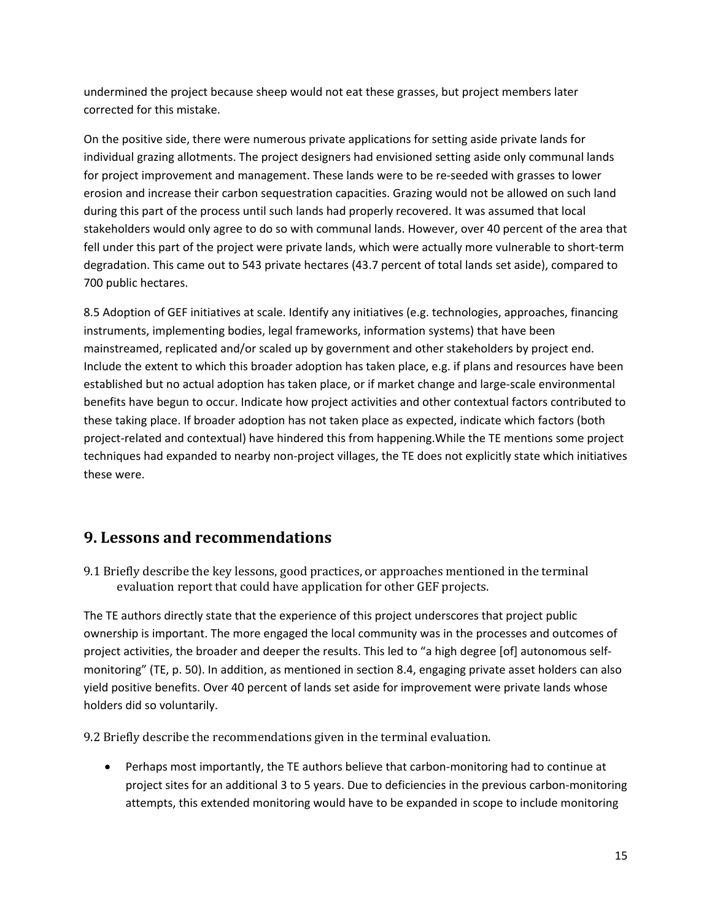undermined the project because sheep would not eat these grasses, but project members later corrected for this mistake.

On the positive side, there were numerous private applications for setting aside private lands for individual grazing allotments. The project designers had envisioned setting aside only communal lands for project improvement and management. These lands were to be re-seeded with grasses to lower erosion and increase their carbon sequestration capacities. Grazing would not be allowed on such land during this part of the process until such lands had properly recovered. It was assumed that local stakeholders would only agree to do so with communal lands. However, over 40 percent of the area that fell under this part of the project were private lands, which were actually more vulnerable to short-term degradation. This came out to 543 private hectares (43.7 percent of total lands set aside), compared to 700 public hectares.

8.5 Adoption of GEF initiatives at scale. Identify any initiatives (e.g. technologies, approaches, financing instruments, implementing bodies, legal frameworks, information systems) that have been mainstreamed, replicated and/or scaled up by government and other stakeholders by project end. Include the extent to which this broader adoption has taken place, e.g. if plans and resources have been established but no actual adoption has taken place, or if market change and large-scale environmental benefits have begun to occur. Indicate how project activities and other contextual factors contributed to these taking place. If broader adoption has not taken place as expected, indicate which factors (both project-related and contextual) have hindered this from happening.While the TE mentions some project techniques had expanded to nearby non-project villages, the TE does not explicitly state which initiatives these were.

### **9. Lessons and recommendations**

9.1 Briefly describe the key lessons, good practices, or approaches mentioned in the terminal evaluation report that could have application for other GEF projects.

The TE authors directly state that the experience of this project underscores that project public ownership is important. The more engaged the local community was in the processes and outcomes of project activities, the broader and deeper the results. This led to "a high degree [of] autonomous selfmonitoring" (TE, p. 50). In addition, as mentioned in section 8.4, engaging private asset holders can also yield positive benefits. Over 40 percent of lands set aside for improvement were private lands whose holders did so voluntarily.

9.2 Briefly describe the recommendations given in the terminal evaluation.

• Perhaps most importantly, the TE authors believe that carbon-monitoring had to continue at project sites for an additional 3 to 5 years. Due to deficiencies in the previous carbon-monitoring attempts, this extended monitoring would have to be expanded in scope to include monitoring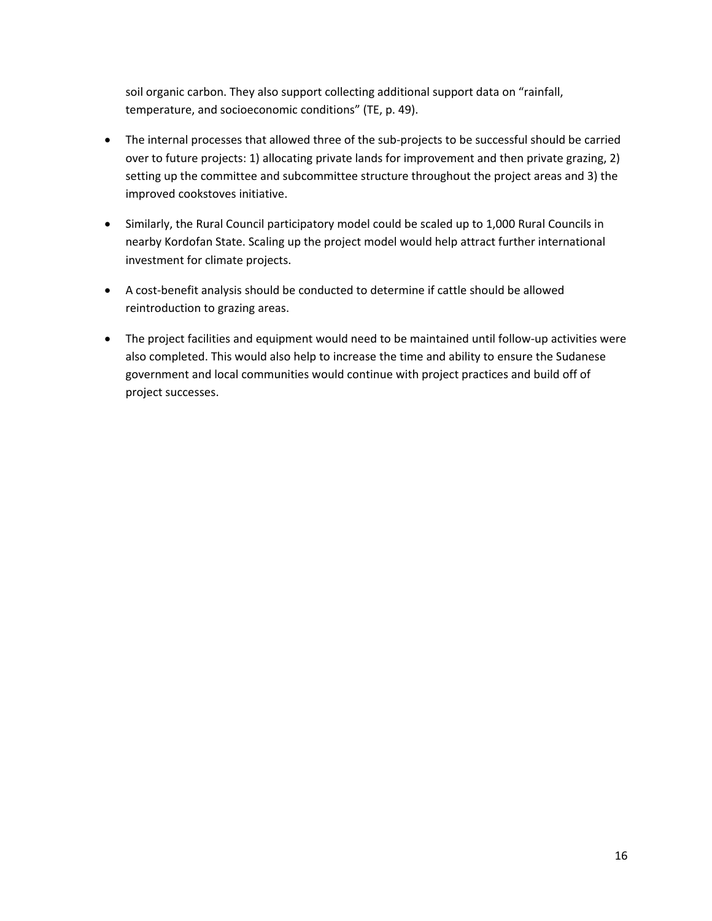soil organic carbon. They also support collecting additional support data on "rainfall, temperature, and socioeconomic conditions" (TE, p. 49).

- The internal processes that allowed three of the sub-projects to be successful should be carried over to future projects: 1) allocating private lands for improvement and then private grazing, 2) setting up the committee and subcommittee structure throughout the project areas and 3) the improved cookstoves initiative.
- Similarly, the Rural Council participatory model could be scaled up to 1,000 Rural Councils in nearby Kordofan State. Scaling up the project model would help attract further international investment for climate projects.
- A cost-benefit analysis should be conducted to determine if cattle should be allowed reintroduction to grazing areas.
- The project facilities and equipment would need to be maintained until follow-up activities were also completed. This would also help to increase the time and ability to ensure the Sudanese government and local communities would continue with project practices and build off of project successes.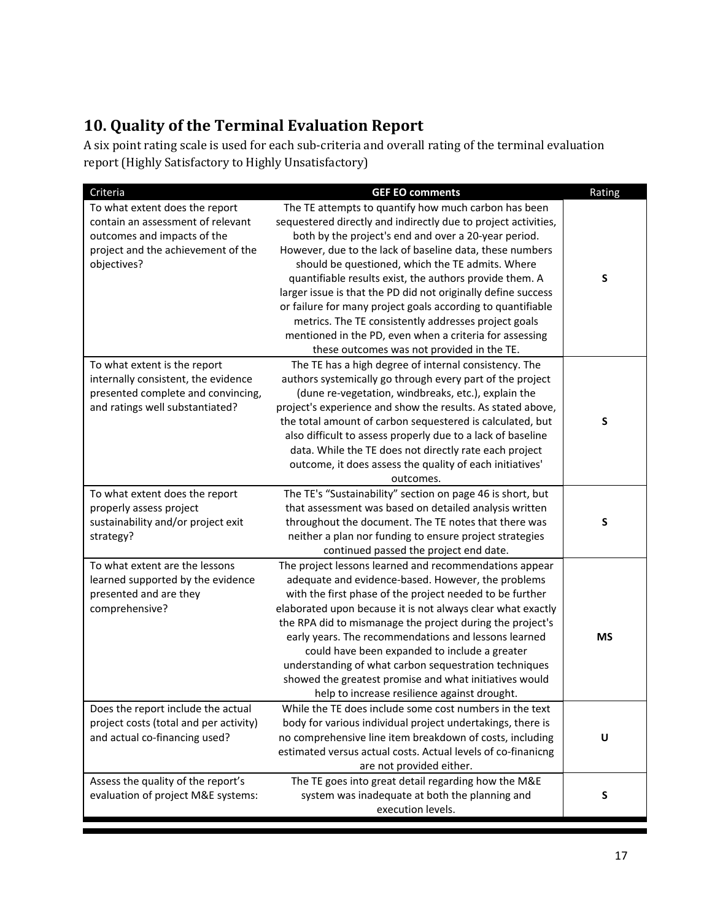## **10. Quality of the Terminal Evaluation Report**

A six point rating scale is used for each sub-criteria and overall rating of the terminal evaluation report (Highly Satisfactory to Highly Unsatisfactory)

| Criteria                                                                                                                                                | <b>GEF EO comments</b>                                                                                                                                                                                                                                                                                                                                                                                                                                                                                                                                                                                                                                     | Rating |
|---------------------------------------------------------------------------------------------------------------------------------------------------------|------------------------------------------------------------------------------------------------------------------------------------------------------------------------------------------------------------------------------------------------------------------------------------------------------------------------------------------------------------------------------------------------------------------------------------------------------------------------------------------------------------------------------------------------------------------------------------------------------------------------------------------------------------|--------|
| To what extent does the report<br>contain an assessment of relevant<br>outcomes and impacts of the<br>project and the achievement of the<br>objectives? | The TE attempts to quantify how much carbon has been<br>sequestered directly and indirectly due to project activities,<br>both by the project's end and over a 20-year period.<br>However, due to the lack of baseline data, these numbers<br>should be questioned, which the TE admits. Where<br>quantifiable results exist, the authors provide them. A<br>larger issue is that the PD did not originally define success<br>or failure for many project goals according to quantifiable<br>metrics. The TE consistently addresses project goals<br>mentioned in the PD, even when a criteria for assessing<br>these outcomes was not provided in the TE. | S      |
| To what extent is the report<br>internally consistent, the evidence<br>presented complete and convincing,<br>and ratings well substantiated?            | The TE has a high degree of internal consistency. The<br>authors systemically go through every part of the project<br>(dune re-vegetation, windbreaks, etc.), explain the<br>project's experience and show the results. As stated above,<br>the total amount of carbon sequestered is calculated, but<br>also difficult to assess properly due to a lack of baseline<br>data. While the TE does not directly rate each project<br>outcome, it does assess the quality of each initiatives'<br>outcomes.                                                                                                                                                    | S      |
| To what extent does the report<br>properly assess project<br>sustainability and/or project exit<br>strategy?                                            | The TE's "Sustainability" section on page 46 is short, but<br>that assessment was based on detailed analysis written<br>throughout the document. The TE notes that there was<br>neither a plan nor funding to ensure project strategies<br>continued passed the project end date.                                                                                                                                                                                                                                                                                                                                                                          | S      |
| To what extent are the lessons<br>learned supported by the evidence<br>presented and are they<br>comprehensive?<br>Does the report include the actual   | The project lessons learned and recommendations appear<br>adequate and evidence-based. However, the problems<br>with the first phase of the project needed to be further<br>elaborated upon because it is not always clear what exactly<br>the RPA did to mismanage the project during the project's<br>early years. The recommendations and lessons learned<br>could have been expanded to include a greater<br>understanding of what carbon sequestration techniques<br>showed the greatest promise and what initiatives would<br>help to increase resilience against drought.<br>While the TE does include some cost numbers in the text                | MS     |
| project costs (total and per activity)<br>and actual co-financing used?                                                                                 | body for various individual project undertakings, there is<br>no comprehensive line item breakdown of costs, including<br>estimated versus actual costs. Actual levels of co-finanicng<br>are not provided either.                                                                                                                                                                                                                                                                                                                                                                                                                                         | U      |
| Assess the quality of the report's<br>evaluation of project M&E systems:                                                                                | The TE goes into great detail regarding how the M&E<br>system was inadequate at both the planning and<br>execution levels.                                                                                                                                                                                                                                                                                                                                                                                                                                                                                                                                 | S      |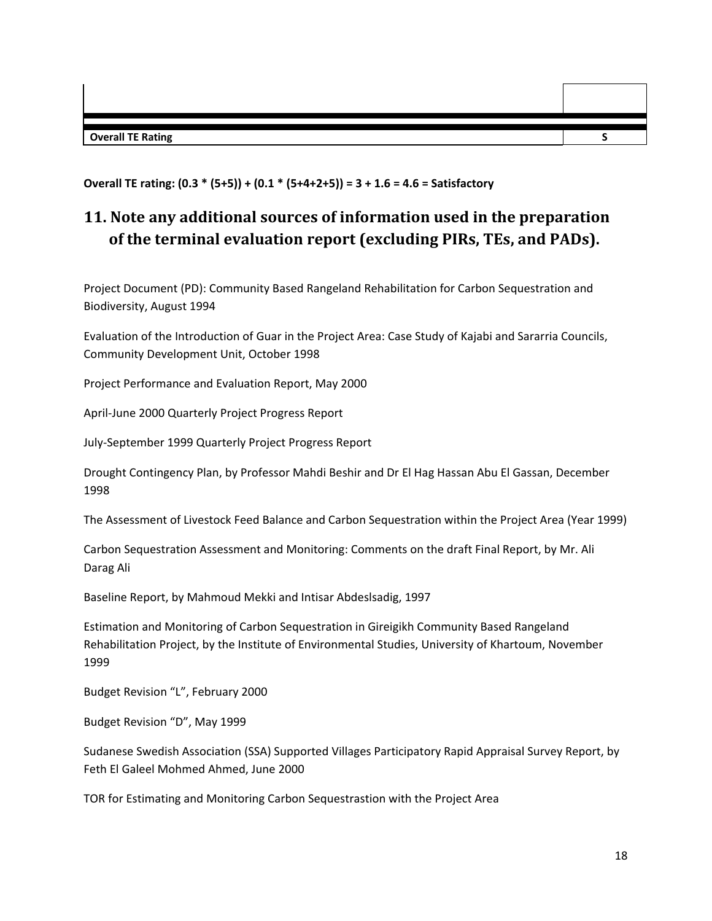**Overall TE Rating S**

**Overall TE rating: (0.3 \* (5+5)) + (0.1 \* (5+4+2+5)) = 3 + 1.6 = 4.6 = Satisfactory**

## **11. Note any additional sources of information used in the preparation of the terminal evaluation report (excluding PIRs, TEs, and PADs).**

Project Document (PD): Community Based Rangeland Rehabilitation for Carbon Sequestration and Biodiversity, August 1994

Evaluation of the Introduction of Guar in the Project Area: Case Study of Kajabi and Sararria Councils, Community Development Unit, October 1998

Project Performance and Evaluation Report, May 2000

April-June 2000 Quarterly Project Progress Report

July-September 1999 Quarterly Project Progress Report

Drought Contingency Plan, by Professor Mahdi Beshir and Dr El Hag Hassan Abu El Gassan, December 1998

The Assessment of Livestock Feed Balance and Carbon Sequestration within the Project Area (Year 1999)

Carbon Sequestration Assessment and Monitoring: Comments on the draft Final Report, by Mr. Ali Darag Ali

Baseline Report, by Mahmoud Mekki and Intisar Abdeslsadig, 1997

Estimation and Monitoring of Carbon Sequestration in Gireigikh Community Based Rangeland Rehabilitation Project, by the Institute of Environmental Studies, University of Khartoum, November 1999

Budget Revision "L", February 2000

Budget Revision "D", May 1999

Sudanese Swedish Association (SSA) Supported Villages Participatory Rapid Appraisal Survey Report, by Feth El Galeel Mohmed Ahmed, June 2000

TOR for Estimating and Monitoring Carbon Sequestrastion with the Project Area